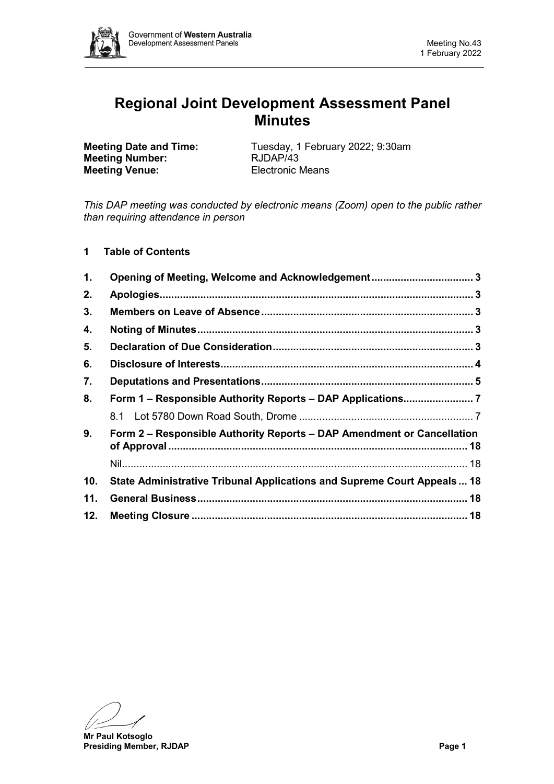

# **Regional Joint Development Assessment Panel Minutes**

**Meeting Number: Meeting Venue:** Electronic Means

**Meeting Date and Time:** Tuesday, 1 February 2022; 9:30am<br> **Meeting Number:** RJDAP/43

*This DAP meeting was conducted by electronic means (Zoom) open to the public rather than requiring attendance in person*

**1 Table of Contents**

| 1.  | Opening of Meeting, Welcome and Acknowledgement 3                        |  |  |
|-----|--------------------------------------------------------------------------|--|--|
| 2.  |                                                                          |  |  |
| 3.  |                                                                          |  |  |
| 4.  |                                                                          |  |  |
| 5.  |                                                                          |  |  |
| 6.  |                                                                          |  |  |
| 7.  |                                                                          |  |  |
| 8.  |                                                                          |  |  |
|     |                                                                          |  |  |
| 9.  | Form 2 – Responsible Authority Reports – DAP Amendment or Cancellation   |  |  |
|     |                                                                          |  |  |
| 10. | State Administrative Tribunal Applications and Supreme Court Appeals  18 |  |  |
| 11. |                                                                          |  |  |
| 12. |                                                                          |  |  |

**Mr Paul Kotsoglo Presiding Member, RJDAP Page 1**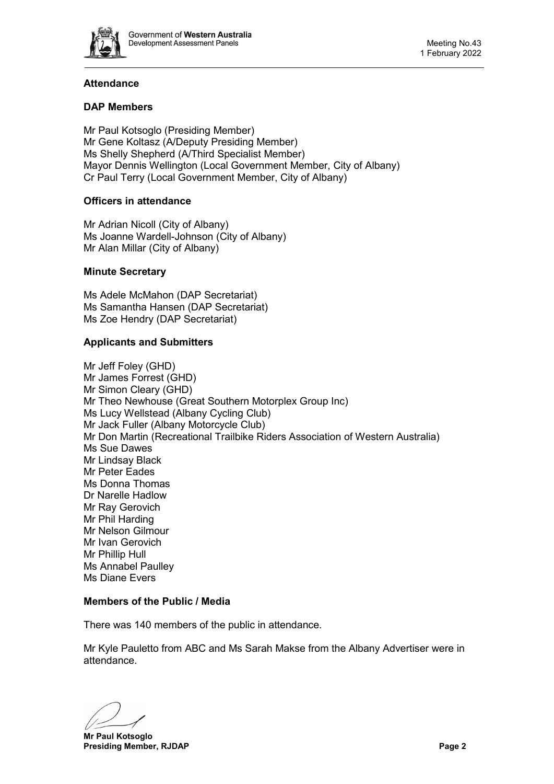

## **Attendance**

## **DAP Members**

Mr Paul Kotsoglo (Presiding Member) Mr Gene Koltasz (A/Deputy Presiding Member) Ms Shelly Shepherd (A/Third Specialist Member) Mayor Dennis Wellington (Local Government Member, City of Albany) Cr Paul Terry (Local Government Member, City of Albany)

## **Officers in attendance**

Mr Adrian Nicoll (City of Albany) Ms Joanne Wardell-Johnson (City of Albany) Mr Alan Millar (City of Albany)

## **Minute Secretary**

Ms Adele McMahon (DAP Secretariat) Ms Samantha Hansen (DAP Secretariat) Ms Zoe Hendry (DAP Secretariat)

## **Applicants and Submitters**

Mr Jeff Foley (GHD) Mr James Forrest (GHD) Mr Simon Cleary (GHD) Mr Theo Newhouse (Great Southern Motorplex Group Inc) Ms Lucy Wellstead (Albany Cycling Club) Mr Jack Fuller (Albany Motorcycle Club) Mr Don Martin (Recreational Trailbike Riders Association of Western Australia) Ms Sue Dawes Mr Lindsay Black Mr Peter Eades Ms Donna Thomas Dr Narelle Hadlow Mr Ray Gerovich Mr Phil Harding Mr Nelson Gilmour Mr Ivan Gerovich Mr Phillip Hull Ms Annabel Paulley Ms Diane Evers

## **Members of the Public / Media**

There was 140 members of the public in attendance.

Mr Kyle Pauletto from ABC and Ms Sarah Makse from the Albany Advertiser were in attendance.

**Mr Paul Kotsoglo Presiding Member, RJDAP Page 2**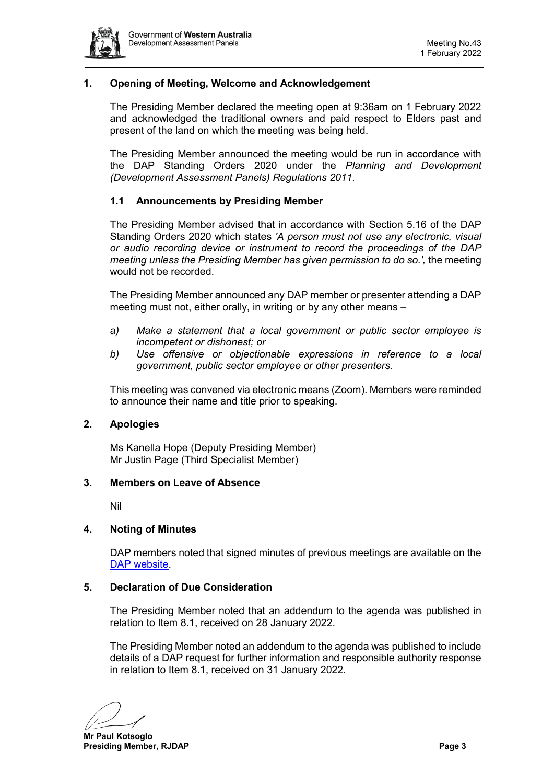

## <span id="page-2-0"></span>**1. Opening of Meeting, Welcome and Acknowledgement**

The Presiding Member declared the meeting open at 9:36am on 1 February 2022 and acknowledged the traditional owners and paid respect to Elders past and present of the land on which the meeting was being held.

The Presiding Member announced the meeting would be run in accordance with the DAP Standing Orders 2020 under the *Planning and Development (Development Assessment Panels) Regulations 2011.*

## **1.1 Announcements by Presiding Member**

The Presiding Member advised that in accordance with Section 5.16 of the DAP Standing Orders 2020 which states *'A person must not use any electronic, visual or audio recording device or instrument to record the proceedings of the DAP meeting unless the Presiding Member has given permission to do so.',* the meeting would not be recorded.

The Presiding Member announced any DAP member or presenter attending a DAP meeting must not, either orally, in writing or by any other means –

- *a) Make a statement that a local government or public sector employee is incompetent or dishonest; or*
- *b) Use offensive or objectionable expressions in reference to a local government, public sector employee or other presenters.*

This meeting was convened via electronic means (Zoom). Members were reminded to announce their name and title prior to speaking.

#### <span id="page-2-1"></span>**2. Apologies**

Ms Kanella Hope (Deputy Presiding Member) Mr Justin Page (Third Specialist Member)

#### <span id="page-2-2"></span>**3. Members on Leave of Absence**

Nil

#### <span id="page-2-3"></span>**4. Noting of Minutes**

DAP members noted that signed minutes of previous meetings are available on the [DAP website.](https://www.dplh.wa.gov.au/about/development-assessment-panels/daps-agendas-and-minutes)

## <span id="page-2-4"></span>**5. Declaration of Due Consideration**

The Presiding Member noted that an addendum to the agenda was published in relation to Item 8.1, received on 28 January 2022.

The Presiding Member noted an addendum to the agenda was published to include details of a DAP request for further information and responsible authority response in relation to Item 8.1, received on 31 January 2022.

**Mr Paul Kotsoglo Presiding Member, RJDAP Page 3**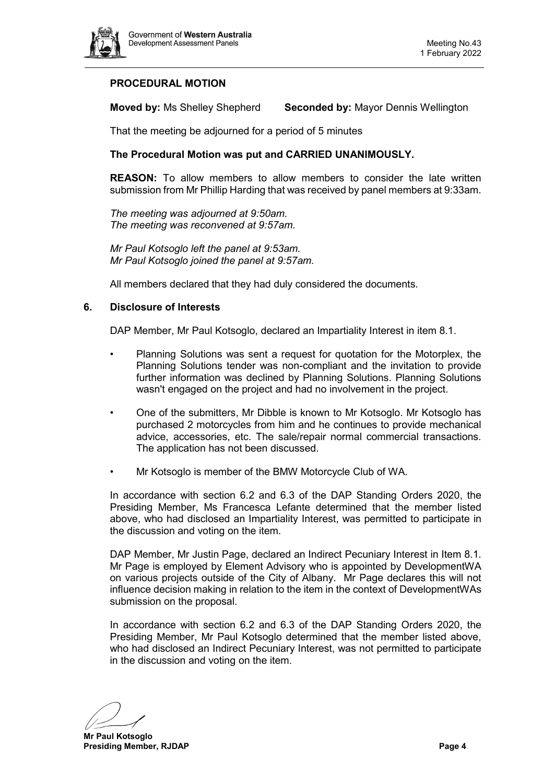

## **PROCEDURAL MOTION**

**Moved by:** Ms Shelley Shepherd **Seconded by:** Mayor Dennis Wellington

That the meeting be adjourned for a period of 5 minutes

## **The Procedural Motion was put and CARRIED UNANIMOUSLY.**

**REASON:** To allow members to allow members to consider the late written submission from Mr Phillip Harding that was received by panel members at 9:33am.

*The meeting was adjourned at 9:50am. The meeting was reconvened at 9:57am.*

*Mr Paul Kotsoglo left the panel at 9:53am. Mr Paul Kotsoglo joined the panel at 9:57am.*

All members declared that they had duly considered the documents.

#### <span id="page-3-0"></span>**6. Disclosure of Interests**

DAP Member, Mr Paul Kotsoglo, declared an Impartiality Interest in item 8.1.

- Planning Solutions was sent a request for quotation for the Motorplex, the Planning Solutions tender was non-compliant and the invitation to provide further information was declined by Planning Solutions. Planning Solutions wasn't engaged on the project and had no involvement in the project.
- One of the submitters, Mr Dibble is known to Mr Kotsoglo. Mr Kotsoglo has purchased 2 motorcycles from him and he continues to provide mechanical advice, accessories, etc. The sale/repair normal commercial transactions. The application has not been discussed.
- Mr Kotsoglo is member of the BMW Motorcycle Club of WA.

In accordance with section 6.2 and 6.3 of the DAP Standing Orders 2020, the Presiding Member, Ms Francesca Lefante determined that the member listed above, who had disclosed an Impartiality Interest, was permitted to participate in the discussion and voting on the item.

DAP Member, Mr Justin Page, declared an Indirect Pecuniary Interest in Item 8.1. Mr Page is employed by Element Advisory who is appointed by DevelopmentWA on various projects outside of the City of Albany. Mr Page declares this will not influence decision making in relation to the item in the context of DevelopmentWAs submission on the proposal.

In accordance with section 6.2 and 6.3 of the DAP Standing Orders 2020, the Presiding Member, Mr Paul Kotsoglo determined that the member listed above, who had disclosed an Indirect Pecuniary Interest, was not permitted to participate in the discussion and voting on the item.

**Mr Paul Kotsoglo Presiding Member, RJDAP Page 4**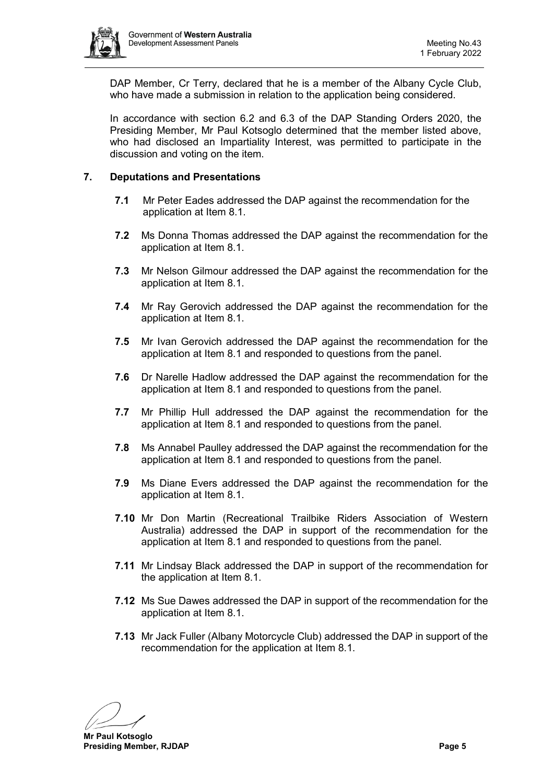

DAP Member, Cr Terry, declared that he is a member of the Albany Cycle Club, who have made a submission in relation to the application being considered.

In accordance with section 6.2 and 6.3 of the DAP Standing Orders 2020, the Presiding Member, Mr Paul Kotsoglo determined that the member listed above, who had disclosed an Impartiality Interest, was permitted to participate in the discussion and voting on the item.

## <span id="page-4-0"></span>**7. Deputations and Presentations**

- **7.1** Mr Peter Eades addressed the DAP against the recommendation for the application at Item 8.1.
- **7.2** Ms Donna Thomas addressed the DAP against the recommendation for the application at Item 8.1.
- **7.3** Mr Nelson Gilmour addressed the DAP against the recommendation for the application at Item 8.1.
- **7.4** Mr Ray Gerovich addressed the DAP against the recommendation for the application at Item 8.1.
- **7.5** Mr Ivan Gerovich addressed the DAP against the recommendation for the application at Item 8.1 and responded to questions from the panel.
- **7.6** Dr Narelle Hadlow addressed the DAP against the recommendation for the application at Item 8.1 and responded to questions from the panel.
- **7.7** Mr Phillip Hull addressed the DAP against the recommendation for the application at Item 8.1 and responded to questions from the panel.
- **7.8** Ms Annabel Paulley addressed the DAP against the recommendation for the application at Item 8.1 and responded to questions from the panel.
- **7.9** Ms Diane Evers addressed the DAP against the recommendation for the application at Item 8.1.
- **7.10** Mr Don Martin (Recreational Trailbike Riders Association of Western Australia) addressed the DAP in support of the recommendation for the application at Item 8.1 and responded to questions from the panel.
- **7.11** Mr Lindsay Black addressed the DAP in support of the recommendation for the application at Item 8.1.
- **7.12** Ms Sue Dawes addressed the DAP in support of the recommendation for the application at Item 8.1.
- **7.13** Mr Jack Fuller (Albany Motorcycle Club) addressed the DAP in support of the recommendation for the application at Item 8.1.

**Mr Paul Kotsoglo Presiding Member, RJDAP Page 5**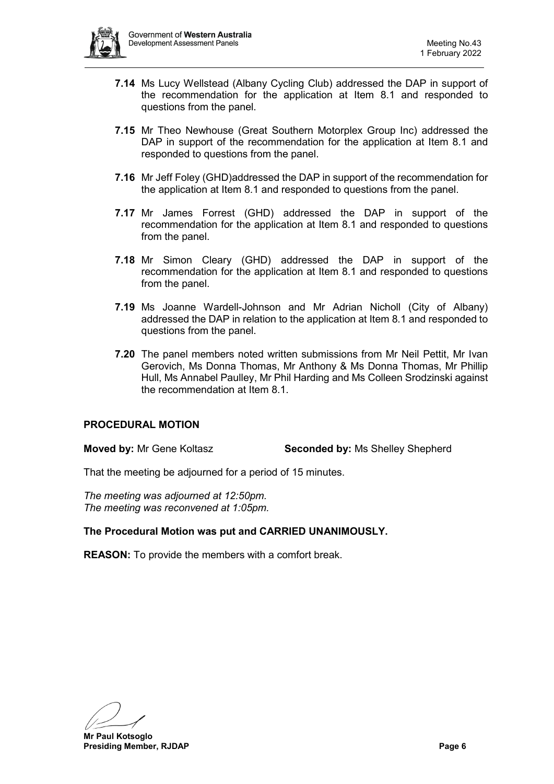

- **7.14** Ms Lucy Wellstead (Albany Cycling Club) addressed the DAP in support of the recommendation for the application at Item 8.1 and responded to questions from the panel.
- **7.15** Mr Theo Newhouse (Great Southern Motorplex Group Inc) addressed the DAP in support of the recommendation for the application at Item 8.1 and responded to questions from the panel.
- **7.16** Mr Jeff Foley (GHD)addressed the DAP in support of the recommendation for the application at Item 8.1 and responded to questions from the panel.
- **7.17** Mr James Forrest (GHD) addressed the DAP in support of the recommendation for the application at Item 8.1 and responded to questions from the panel.
- **7.18** Mr Simon Cleary (GHD) addressed the DAP in support of the recommendation for the application at Item 8.1 and responded to questions from the panel.
- **7.19** Ms Joanne Wardell-Johnson and Mr Adrian Nicholl (City of Albany) addressed the DAP in relation to the application at Item 8.1 and responded to questions from the panel.
- **7.20** The panel members noted written submissions from Mr Neil Pettit, Mr Ivan Gerovich, Ms Donna Thomas, Mr Anthony & Ms Donna Thomas, Mr Phillip Hull, Ms Annabel Paulley, Mr Phil Harding and Ms Colleen Srodzinski against the recommendation at Item 8.1.

## **PROCEDURAL MOTION**

**Moved by:** Mr Gene Koltasz **Seconded by:** Ms Shelley Shepherd

That the meeting be adjourned for a period of 15 minutes.

*The meeting was adjourned at 12:50pm. The meeting was reconvened at 1:05pm.*

## **The Procedural Motion was put and CARRIED UNANIMOUSLY.**

**REASON:** To provide the members with a comfort break.

**Mr Paul Kotsoglo Presiding Member, RJDAP Page 6**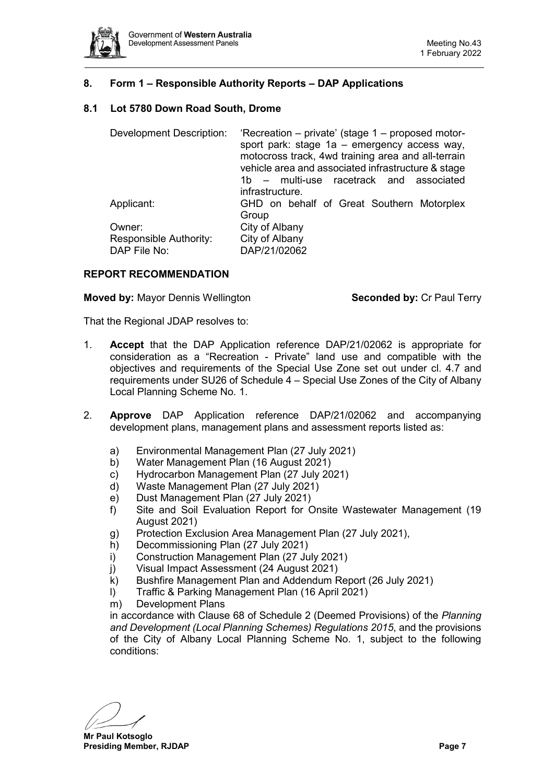

## <span id="page-6-0"></span>**8. Form 1 – Responsible Authority Reports – DAP Applications**

## <span id="page-6-1"></span>**8.1 Lot 5780 Down Road South, Drome**

| <b>Development Description:</b>        | 'Recreation – private' (stage 1 – proposed motor-<br>sport park: stage 1a - emergency access way,<br>motocross track, 4wd training area and all-terrain<br>vehicle area and associated infrastructure & stage<br>1b – multi-use racetrack and associated<br>infrastructure. |  |
|----------------------------------------|-----------------------------------------------------------------------------------------------------------------------------------------------------------------------------------------------------------------------------------------------------------------------------|--|
| Applicant:                             | GHD on behalf of Great Southern Motorplex<br>Group                                                                                                                                                                                                                          |  |
| Owner:                                 | City of Albany                                                                                                                                                                                                                                                              |  |
| Responsible Authority:<br>DAP File No: | City of Albany<br>DAP/21/02062                                                                                                                                                                                                                                              |  |

#### **REPORT RECOMMENDATION**

**Moved by:** Mayor Dennis Wellington **Seconded by:** Cr Paul Terry

That the Regional JDAP resolves to:

- 1. **Accept** that the DAP Application reference DAP/21/02062 is appropriate for consideration as a "Recreation - Private" land use and compatible with the objectives and requirements of the Special Use Zone set out under cl. 4.7 and requirements under SU26 of Schedule 4 – Special Use Zones of the City of Albany Local Planning Scheme No. 1.
- 2. **Approve** DAP Application reference DAP/21/02062 and accompanying development plans, management plans and assessment reports listed as:
	- a) Environmental Management Plan (27 July 2021)
	- b) Water Management Plan (16 August 2021)
	- c) Hydrocarbon Management Plan (27 July 2021)
	- d) Waste Management Plan (27 July 2021)
	- e) Dust Management Plan (27 July 2021)
	- f) Site and Soil Evaluation Report for Onsite Wastewater Management (19 August 2021)
	- g) Protection Exclusion Area Management Plan (27 July 2021),
	- h) Decommissioning Plan (27 July 2021)
	- i) Construction Management Plan (27 July 2021)
	- j) Visual Impact Assessment (24 August 2021)
	- k) Bushfire Management Plan and Addendum Report (26 July 2021)
	- l) Traffic & Parking Management Plan (16 April 2021)
	- m) Development Plans

in accordance with Clause 68 of Schedule 2 (Deemed Provisions) of the *Planning and Development (Local Planning Schemes) Regulations 2015*, and the provisions of the City of Albany Local Planning Scheme No. 1, subject to the following conditions:

**Mr Paul Kotsoglo Presiding Member, RJDAP Page 7**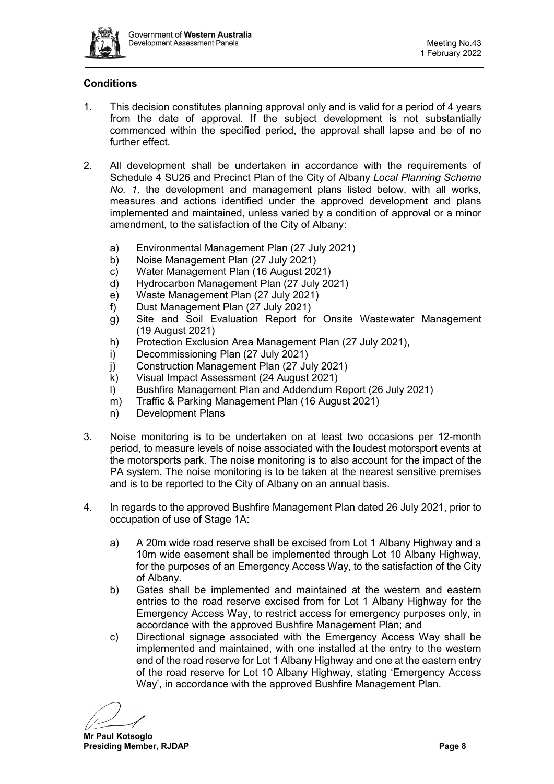

## **Conditions**

- 1. This decision constitutes planning approval only and is valid for a period of 4 years from the date of approval. If the subject development is not substantially commenced within the specified period, the approval shall lapse and be of no further effect.
- 2. All development shall be undertaken in accordance with the requirements of Schedule 4 SU26 and Precinct Plan of the City of Albany *Local Planning Scheme No. 1,* the development and management plans listed below, with all works, measures and actions identified under the approved development and plans implemented and maintained, unless varied by a condition of approval or a minor amendment, to the satisfaction of the City of Albany:
	- a) Environmental Management Plan (27 July 2021)
	- b) Noise Management Plan (27 July 2021)
	- c) Water Management Plan (16 August 2021)
	- d) Hydrocarbon Management Plan (27 July 2021)
	- e) Waste Management Plan (27 July 2021)
	- f) Dust Management Plan (27 July 2021)
	- g) Site and Soil Evaluation Report for Onsite Wastewater Management (19 August 2021)
	- h) Protection Exclusion Area Management Plan (27 July 2021),
	- i) Decommissioning Plan (27 July 2021)
	- j) Construction Management Plan (27 July 2021)
	- k) Visual Impact Assessment (24 August 2021)
	- l) Bushfire Management Plan and Addendum Report (26 July 2021)
	- m) Traffic & Parking Management Plan (16 August 2021)
	- n) Development Plans
- 3. Noise monitoring is to be undertaken on at least two occasions per 12-month period, to measure levels of noise associated with the loudest motorsport events at the motorsports park. The noise monitoring is to also account for the impact of the PA system. The noise monitoring is to be taken at the nearest sensitive premises and is to be reported to the City of Albany on an annual basis.
- 4. In regards to the approved Bushfire Management Plan dated 26 July 2021, prior to occupation of use of Stage 1A:
	- a) A 20m wide road reserve shall be excised from Lot 1 Albany Highway and a 10m wide easement shall be implemented through Lot 10 Albany Highway, for the purposes of an Emergency Access Way, to the satisfaction of the City of Albany.
	- b) Gates shall be implemented and maintained at the western and eastern entries to the road reserve excised from for Lot 1 Albany Highway for the Emergency Access Way, to restrict access for emergency purposes only, in accordance with the approved Bushfire Management Plan; and
	- c) Directional signage associated with the Emergency Access Way shall be implemented and maintained, with one installed at the entry to the western end of the road reserve for Lot 1 Albany Highway and one at the eastern entry of the road reserve for Lot 10 Albany Highway, stating 'Emergency Access Way', in accordance with the approved Bushfire Management Plan.

**Mr Paul Kotsoglo Presiding Member, RJDAP Page 8**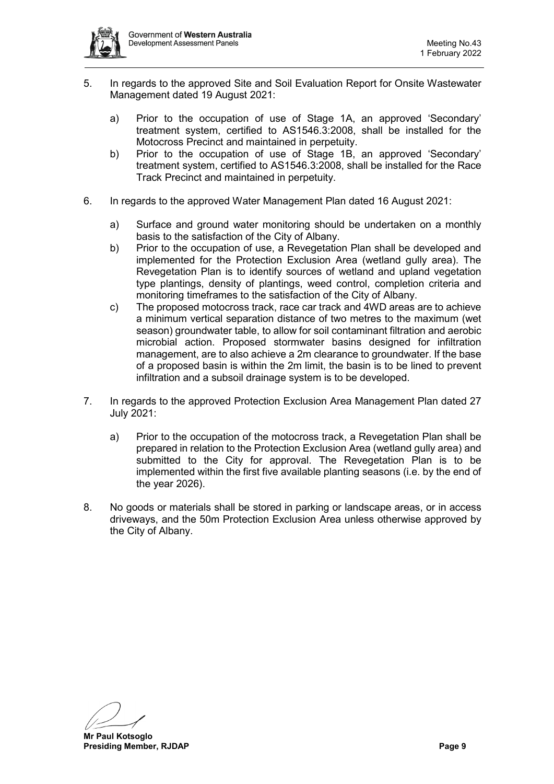

- 5. In regards to the approved Site and Soil Evaluation Report for Onsite Wastewater Management dated 19 August 2021:
	- a) Prior to the occupation of use of Stage 1A, an approved 'Secondary' treatment system, certified to AS1546.3:2008, shall be installed for the Motocross Precinct and maintained in perpetuity.
	- b) Prior to the occupation of use of Stage 1B, an approved 'Secondary' treatment system, certified to AS1546.3:2008, shall be installed for the Race Track Precinct and maintained in perpetuity.
- 6. In regards to the approved Water Management Plan dated 16 August 2021:
	- a) Surface and ground water monitoring should be undertaken on a monthly basis to the satisfaction of the City of Albany.
	- b) Prior to the occupation of use, a Revegetation Plan shall be developed and implemented for the Protection Exclusion Area (wetland gully area). The Revegetation Plan is to identify sources of wetland and upland vegetation type plantings, density of plantings, weed control, completion criteria and monitoring timeframes to the satisfaction of the City of Albany.
	- c) The proposed motocross track, race car track and 4WD areas are to achieve a minimum vertical separation distance of two metres to the maximum (wet season) groundwater table, to allow for soil contaminant filtration and aerobic microbial action. Proposed stormwater basins designed for infiltration management, are to also achieve a 2m clearance to groundwater. If the base of a proposed basin is within the 2m limit, the basin is to be lined to prevent infiltration and a subsoil drainage system is to be developed.
- 7. In regards to the approved Protection Exclusion Area Management Plan dated 27 July 2021:
	- a) Prior to the occupation of the motocross track, a Revegetation Plan shall be prepared in relation to the Protection Exclusion Area (wetland gully area) and submitted to the City for approval. The Revegetation Plan is to be implemented within the first five available planting seasons (i.e. by the end of the year 2026).
- 8. No goods or materials shall be stored in parking or landscape areas, or in access driveways, and the 50m Protection Exclusion Area unless otherwise approved by the City of Albany.

**Mr Paul Kotsoglo Presiding Member, RJDAP Page 9**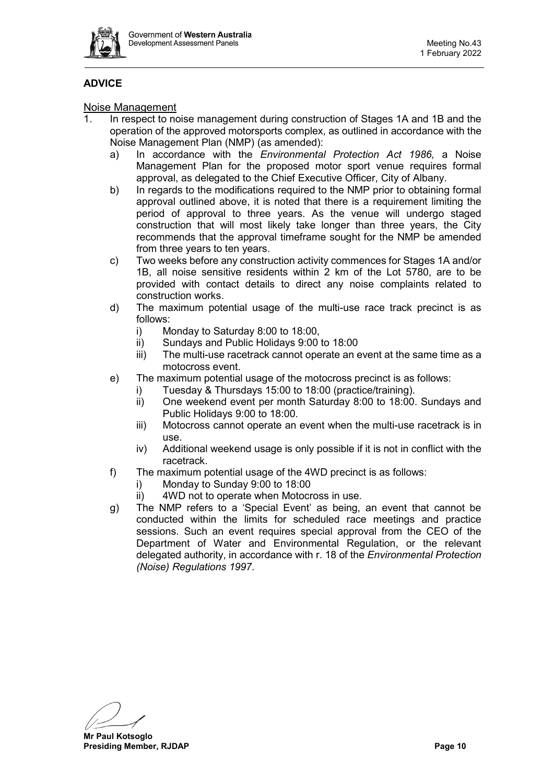

## **ADVICE**

## Noise Management

- 1. In respect to noise management during construction of Stages 1A and 1B and the operation of the approved motorsports complex, as outlined in accordance with the Noise Management Plan (NMP) (as amended):
	- a) In accordance with the *Environmental Protection Act 1986,* a Noise Management Plan for the proposed motor sport venue requires formal approval, as delegated to the Chief Executive Officer, City of Albany.
	- b) In regards to the modifications required to the NMP prior to obtaining formal approval outlined above, it is noted that there is a requirement limiting the period of approval to three years. As the venue will undergo staged construction that will most likely take longer than three years, the City recommends that the approval timeframe sought for the NMP be amended from three years to ten years.
	- c) Two weeks before any construction activity commences for Stages 1A and/or 1B, all noise sensitive residents within 2 km of the Lot 5780, are to be provided with contact details to direct any noise complaints related to construction works.
	- d) The maximum potential usage of the multi-use race track precinct is as follows:
		- i) Monday to Saturday 8:00 to 18:00,
		- ii) Sundays and Public Holidays 9:00 to 18:00
		- iii) The multi-use racetrack cannot operate an event at the same time as a motocross event.
	- e) The maximum potential usage of the motocross precinct is as follows:
		- i) Tuesday & Thursdays 15:00 to 18:00 (practice/training).
		- ii) One weekend event per month Saturday 8:00 to 18:00. Sundays and Public Holidays 9:00 to 18:00.
		- iii) Motocross cannot operate an event when the multi-use racetrack is in use.
		- iv) Additional weekend usage is only possible if it is not in conflict with the racetrack.
	- f) The maximum potential usage of the 4WD precinct is as follows:
		- i) Monday to Sunday 9:00 to 18:00
		- ii) 4WD not to operate when Motocross in use.
	- g) The NMP refers to a 'Special Event' as being, an event that cannot be conducted within the limits for scheduled race meetings and practice sessions. Such an event requires special approval from the CEO of the Department of Water and Environmental Regulation, or the relevant delegated authority, in accordance with r. 18 of the *Environmental Protection (Noise) Regulations 1997*.

**Mr Paul Kotsoglo Presiding Member, RJDAP Page 10**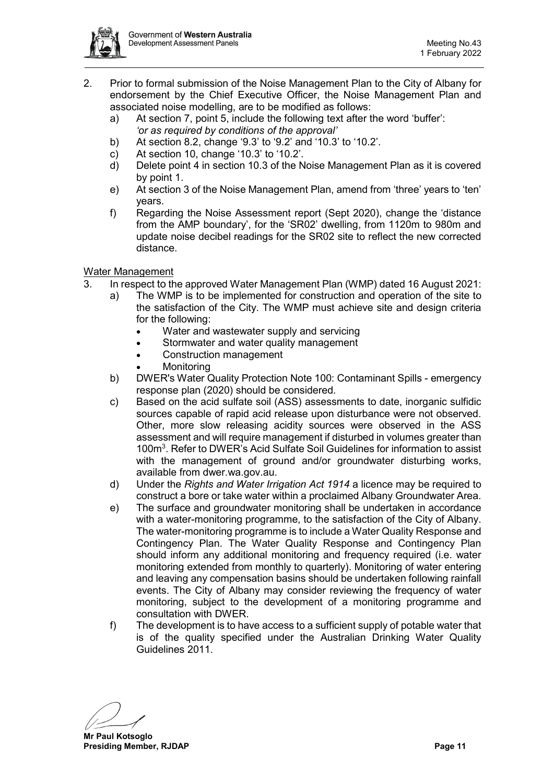

- 2. Prior to formal submission of the Noise Management Plan to the City of Albany for endorsement by the Chief Executive Officer, the Noise Management Plan and associated noise modelling, are to be modified as follows:
	- a) At section 7, point 5, include the following text after the word 'buffer': *'or as required by conditions of the approval'*
	- b) At section 8.2, change '9.3' to '9.2' and '10.3' to '10.2'.
	- c) At section 10, change '10.3' to '10.2'.
	- d) Delete point 4 in section 10.3 of the Noise Management Plan as it is covered by point 1.
	- e) At section 3 of the Noise Management Plan, amend from 'three' years to 'ten' years.
	- f) Regarding the Noise Assessment report (Sept 2020), change the 'distance from the AMP boundary', for the 'SR02' dwelling, from 1120m to 980m and update noise decibel readings for the SR02 site to reflect the new corrected distance.

## Water Management

- 3. In respect to the approved Water Management Plan (WMP) dated 16 August 2021:
	- a) The WMP is to be implemented for construction and operation of the site to the satisfaction of the City. The WMP must achieve site and design criteria for the following:
		- Water and wastewater supply and servicing
		- Stormwater and water quality management
		- Construction management
		- **Monitoring**
	- b) DWER's Water Quality Protection Note 100: Contaminant Spills emergency response plan (2020) should be considered.
	- c) Based on the acid sulfate soil (ASS) assessments to date, inorganic sulfidic sources capable of rapid acid release upon disturbance were not observed. Other, more slow releasing acidity sources were observed in the ASS assessment and will require management if disturbed in volumes greater than 100m<sup>3</sup>. Refer to DWER's Acid Sulfate Soil Guidelines for information to assist with the management of ground and/or groundwater disturbing works, available from dwer.wa.gov.au.
	- d) Under the *Rights and Water Irrigation Act 1914* a licence may be required to construct a bore or take water within a proclaimed Albany Groundwater Area.
	- e) The surface and groundwater monitoring shall be undertaken in accordance with a water-monitoring programme, to the satisfaction of the City of Albany. The water-monitoring programme is to include a Water Quality Response and Contingency Plan. The Water Quality Response and Contingency Plan should inform any additional monitoring and frequency required (i.e. water monitoring extended from monthly to quarterly). Monitoring of water entering and leaving any compensation basins should be undertaken following rainfall events. The City of Albany may consider reviewing the frequency of water monitoring, subject to the development of a monitoring programme and consultation with DWER.
	- f) The development is to have access to a sufficient supply of potable water that is of the quality specified under the Australian Drinking Water Quality Guidelines 2011.

**Mr Paul Kotsoglo Presiding Member, RJDAP Page 11**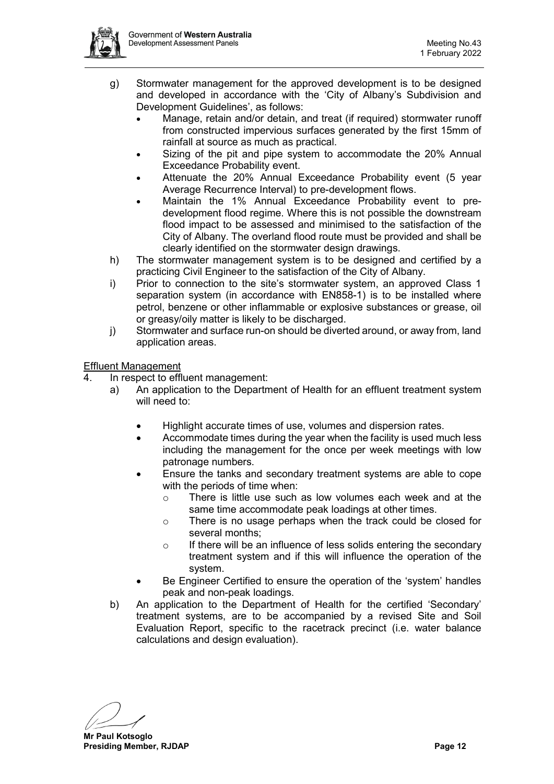

- g) Stormwater management for the approved development is to be designed and developed in accordance with the 'City of Albany's Subdivision and Development Guidelines', as follows:
	- Manage, retain and/or detain, and treat (if required) stormwater runoff from constructed impervious surfaces generated by the first 15mm of rainfall at source as much as practical.
	- Sizing of the pit and pipe system to accommodate the 20% Annual Exceedance Probability event.
	- Attenuate the 20% Annual Exceedance Probability event (5 year Average Recurrence Interval) to pre-development flows.
	- Maintain the 1% Annual Exceedance Probability event to predevelopment flood regime. Where this is not possible the downstream flood impact to be assessed and minimised to the satisfaction of the City of Albany. The overland flood route must be provided and shall be clearly identified on the stormwater design drawings.
- h) The stormwater management system is to be designed and certified by a practicing Civil Engineer to the satisfaction of the City of Albany.
- i) Prior to connection to the site's stormwater system, an approved Class 1 separation system (in accordance with EN858-1) is to be installed where petrol, benzene or other inflammable or explosive substances or grease, oil or greasy/oily matter is likely to be discharged.
- j) Stormwater and surface run-on should be diverted around, or away from, land application areas.

Effluent Management

- 4. In respect to effluent management:
	- a) An application to the Department of Health for an effluent treatment system will need to:
		- Highlight accurate times of use, volumes and dispersion rates.
		- Accommodate times during the year when the facility is used much less including the management for the once per week meetings with low patronage numbers.
		- Ensure the tanks and secondary treatment systems are able to cope with the periods of time when:
			- o There is little use such as low volumes each week and at the same time accommodate peak loadings at other times.
			- o There is no usage perhaps when the track could be closed for several months;
			- $\circ$  If there will be an influence of less solids entering the secondary treatment system and if this will influence the operation of the system.
		- Be Engineer Certified to ensure the operation of the 'system' handles peak and non-peak loadings.
	- b) An application to the Department of Health for the certified 'Secondary' treatment systems, are to be accompanied by a revised Site and Soil Evaluation Report, specific to the racetrack precinct (i.e. water balance calculations and design evaluation).

**Mr Paul Kotsoglo Presiding Member, RJDAP Page 12**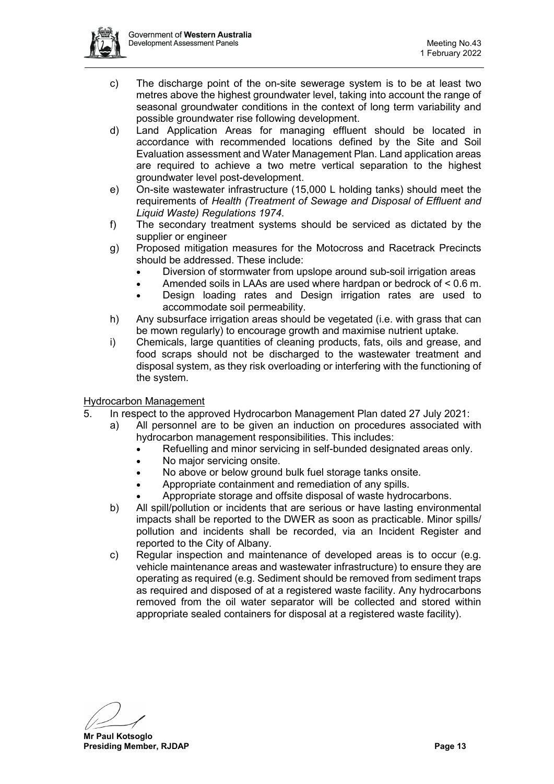

- c) The discharge point of the on-site sewerage system is to be at least two metres above the highest groundwater level, taking into account the range of seasonal groundwater conditions in the context of long term variability and possible groundwater rise following development.
- d) Land Application Areas for managing effluent should be located in accordance with recommended locations defined by the Site and Soil Evaluation assessment and Water Management Plan. Land application areas are required to achieve a two metre vertical separation to the highest groundwater level post-development.
- e) On-site wastewater infrastructure (15,000 L holding tanks) should meet the requirements of *Health (Treatment of Sewage and Disposal of Effluent and Liquid Waste) Regulations 1974*.
- f) The secondary treatment systems should be serviced as dictated by the supplier or engineer
- g) Proposed mitigation measures for the Motocross and Racetrack Precincts should be addressed. These include:
	- Diversion of stormwater from upslope around sub-soil irrigation areas
	- Amended soils in LAAs are used where hardpan or bedrock of < 0.6 m.
	- Design loading rates and Design irrigation rates are used to accommodate soil permeability.
- h) Any subsurface irrigation areas should be vegetated (i.e. with grass that can be mown regularly) to encourage growth and maximise nutrient uptake.
- i) Chemicals, large quantities of cleaning products, fats, oils and grease, and food scraps should not be discharged to the wastewater treatment and disposal system, as they risk overloading or interfering with the functioning of the system.

## Hydrocarbon Management

- 5. In respect to the approved Hydrocarbon Management Plan dated 27 July 2021:
	- a) All personnel are to be given an induction on procedures associated with hydrocarbon management responsibilities. This includes:
		- Refuelling and minor servicing in self-bunded designated areas only.
		- No major servicing onsite.
		- No above or below ground bulk fuel storage tanks onsite.
		- Appropriate containment and remediation of any spills.
		- Appropriate storage and offsite disposal of waste hydrocarbons.
	- b) All spill/pollution or incidents that are serious or have lasting environmental impacts shall be reported to the DWER as soon as practicable. Minor spills/ pollution and incidents shall be recorded, via an Incident Register and reported to the City of Albany.
	- c) Regular inspection and maintenance of developed areas is to occur (e.g. vehicle maintenance areas and wastewater infrastructure) to ensure they are operating as required (e.g. Sediment should be removed from sediment traps as required and disposed of at a registered waste facility. Any hydrocarbons removed from the oil water separator will be collected and stored within appropriate sealed containers for disposal at a registered waste facility).

**Mr Paul Kotsoglo Presiding Member, RJDAP Page 13**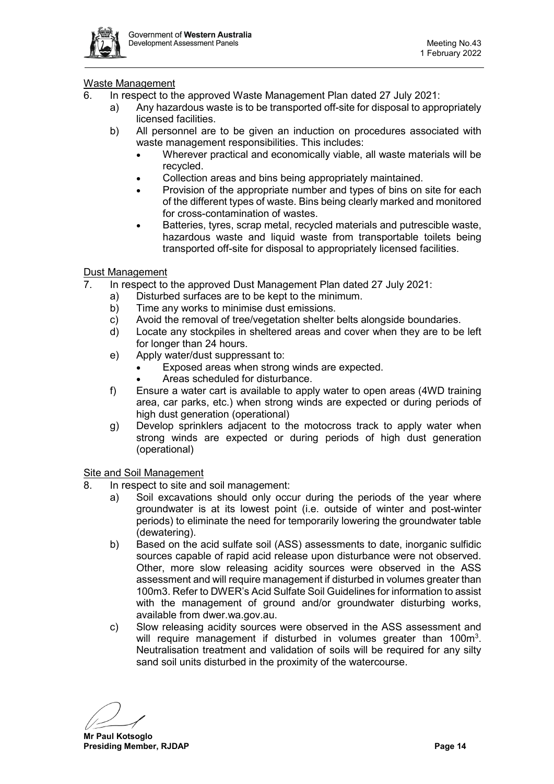

## Waste Management

- 6. In respect to the approved Waste Management Plan dated 27 July 2021:
	- a) Any hazardous waste is to be transported off-site for disposal to appropriately licensed facilities.
	- b) All personnel are to be given an induction on procedures associated with waste management responsibilities. This includes:
		- Wherever practical and economically viable, all waste materials will be recycled.
		- Collection areas and bins being appropriately maintained.
		- Provision of the appropriate number and types of bins on site for each of the different types of waste. Bins being clearly marked and monitored for cross-contamination of wastes.
		- Batteries, tyres, scrap metal, recycled materials and putrescible waste, hazardous waste and liquid waste from transportable toilets being transported off-site for disposal to appropriately licensed facilities.

## Dust Management

- 7. In respect to the approved Dust Management Plan dated 27 July 2021:
	- a) Disturbed surfaces are to be kept to the minimum.
	- b) Time any works to minimise dust emissions.
	- c) Avoid the removal of tree/vegetation shelter belts alongside boundaries.
	- d) Locate any stockpiles in sheltered areas and cover when they are to be left for longer than 24 hours.
	- e) Apply water/dust suppressant to:
		- Exposed areas when strong winds are expected.
		- Areas scheduled for disturbance.
	- f) Ensure a water cart is available to apply water to open areas (4WD training area, car parks, etc.) when strong winds are expected or during periods of high dust generation (operational)
	- g) Develop sprinklers adjacent to the motocross track to apply water when strong winds are expected or during periods of high dust generation (operational)

Site and Soil Management

- 8. In respect to site and soil management:
	- a) Soil excavations should only occur during the periods of the year where groundwater is at its lowest point (i.e. outside of winter and post-winter periods) to eliminate the need for temporarily lowering the groundwater table (dewatering).
	- b) Based on the acid sulfate soil (ASS) assessments to date, inorganic sulfidic sources capable of rapid acid release upon disturbance were not observed. Other, more slow releasing acidity sources were observed in the ASS assessment and will require management if disturbed in volumes greater than 100m3. Refer to DWER's Acid Sulfate Soil Guidelines for information to assist with the management of ground and/or groundwater disturbing works, available from dwer.wa.gov.au.
	- c) Slow releasing acidity sources were observed in the ASS assessment and will require management if disturbed in volumes greater than 100 $m^3$ . Neutralisation treatment and validation of soils will be required for any silty sand soil units disturbed in the proximity of the watercourse.

**Mr Paul Kotsoglo Presiding Member, RJDAP Page 14**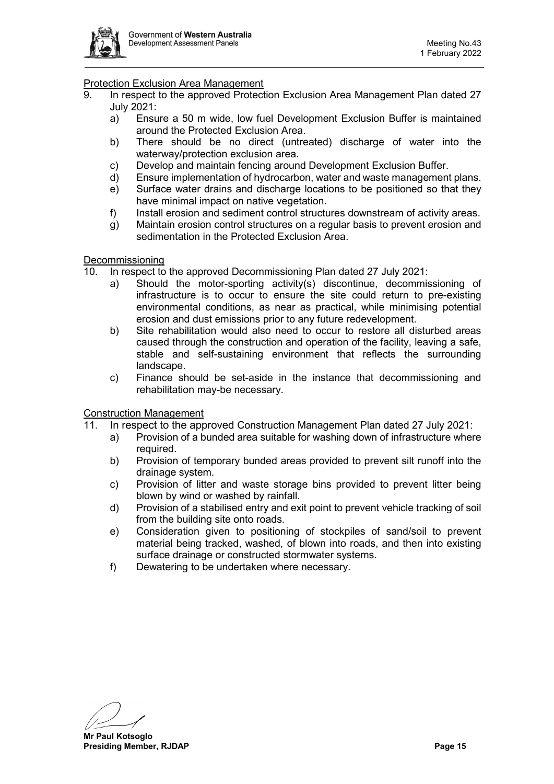

## Protection Exclusion Area Management

- 9. In respect to the approved Protection Exclusion Area Management Plan dated 27 July 2021:
	- a) Ensure a 50 m wide, low fuel Development Exclusion Buffer is maintained around the Protected Exclusion Area.
	- b) There should be no direct (untreated) discharge of water into the waterway/protection exclusion area.
	- c) Develop and maintain fencing around Development Exclusion Buffer.
	- d) Ensure implementation of hydrocarbon, water and waste management plans.
	- e) Surface water drains and discharge locations to be positioned so that they have minimal impact on native vegetation.
	- f) Install erosion and sediment control structures downstream of activity areas.
	- g) Maintain erosion control structures on a regular basis to prevent erosion and sedimentation in the Protected Exclusion Area.

#### **Decommissioning**

10. In respect to the approved Decommissioning Plan dated 27 July 2021:

- a) Should the motor-sporting activity(s) discontinue, decommissioning of infrastructure is to occur to ensure the site could return to pre-existing environmental conditions, as near as practical, while minimising potential erosion and dust emissions prior to any future redevelopment.
- b) Site rehabilitation would also need to occur to restore all disturbed areas caused through the construction and operation of the facility, leaving a safe, stable and self-sustaining environment that reflects the surrounding landscape.
- c) Finance should be set-aside in the instance that decommissioning and rehabilitation may-be necessary.

#### Construction Management

- 11. In respect to the approved Construction Management Plan dated 27 July 2021:
	- a) Provision of a bunded area suitable for washing down of infrastructure where required.
	- b) Provision of temporary bunded areas provided to prevent silt runoff into the drainage system.
	- c) Provision of litter and waste storage bins provided to prevent litter being blown by wind or washed by rainfall.
	- d) Provision of a stabilised entry and exit point to prevent vehicle tracking of soil from the building site onto roads.
	- e) Consideration given to positioning of stockpiles of sand/soil to prevent material being tracked, washed, of blown into roads, and then into existing surface drainage or constructed stormwater systems.
	- f) Dewatering to be undertaken where necessary.

**Mr Paul Kotsoglo Presiding Member, RJDAP Page 15**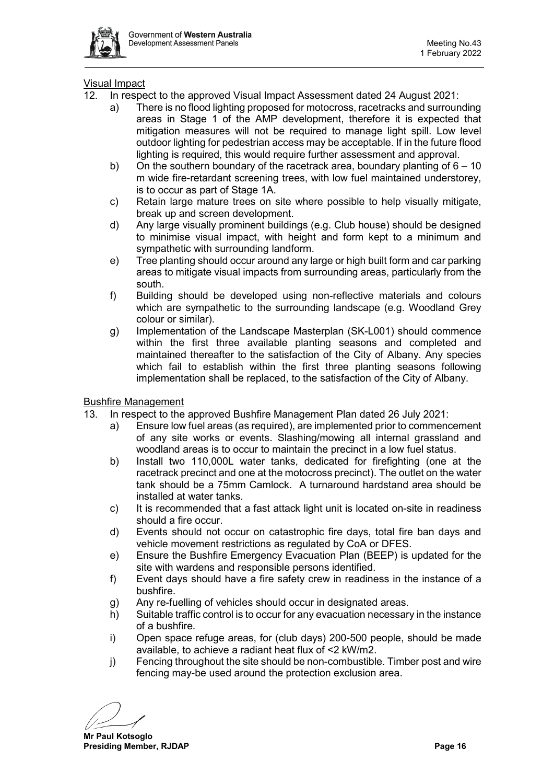

## Visual Impact

- 12. In respect to the approved Visual Impact Assessment dated 24 August 2021:
	- a) There is no flood lighting proposed for motocross, racetracks and surrounding areas in Stage 1 of the AMP development, therefore it is expected that mitigation measures will not be required to manage light spill. Low level outdoor lighting for pedestrian access may be acceptable. If in the future flood lighting is required, this would require further assessment and approval.
	- b) On the southern boundary of the racetrack area, boundary planting of  $6 10$ m wide fire-retardant screening trees, with low fuel maintained understorey, is to occur as part of Stage 1A.
	- c) Retain large mature trees on site where possible to help visually mitigate, break up and screen development.
	- d) Any large visually prominent buildings (e.g. Club house) should be designed to minimise visual impact, with height and form kept to a minimum and sympathetic with surrounding landform.
	- e) Tree planting should occur around any large or high built form and car parking areas to mitigate visual impacts from surrounding areas, particularly from the south.
	- f) Building should be developed using non-reflective materials and colours which are sympathetic to the surrounding landscape (e.g. Woodland Grey colour or similar).
	- g) Implementation of the Landscape Masterplan (SK-L001) should commence within the first three available planting seasons and completed and maintained thereafter to the satisfaction of the City of Albany. Any species which fail to establish within the first three planting seasons following implementation shall be replaced, to the satisfaction of the City of Albany.

#### Bushfire Management

- 13. In respect to the approved Bushfire Management Plan dated 26 July 2021:
	- a) Ensure low fuel areas (as required), are implemented prior to commencement of any site works or events. Slashing/mowing all internal grassland and woodland areas is to occur to maintain the precinct in a low fuel status.
	- b) Install two 110,000L water tanks, dedicated for firefighting (one at the racetrack precinct and one at the motocross precinct). The outlet on the water tank should be a 75mm Camlock. A turnaround hardstand area should be installed at water tanks.
	- c) It is recommended that a fast attack light unit is located on-site in readiness should a fire occur.
	- d) Events should not occur on catastrophic fire days, total fire ban days and vehicle movement restrictions as regulated by CoA or DFES.
	- e) Ensure the Bushfire Emergency Evacuation Plan (BEEP) is updated for the site with wardens and responsible persons identified.
	- f) Event days should have a fire safety crew in readiness in the instance of a bushfire.
	- g) Any re-fuelling of vehicles should occur in designated areas.
	- h) Suitable traffic control is to occur for any evacuation necessary in the instance of a bushfire.
	- i) Open space refuge areas, for (club days) 200-500 people, should be made available, to achieve a radiant heat flux of <2 kW/m2.
	- j) Fencing throughout the site should be non-combustible. Timber post and wire fencing may-be used around the protection exclusion area.

**Mr Paul Kotsoglo Presiding Member, RJDAP Page 16**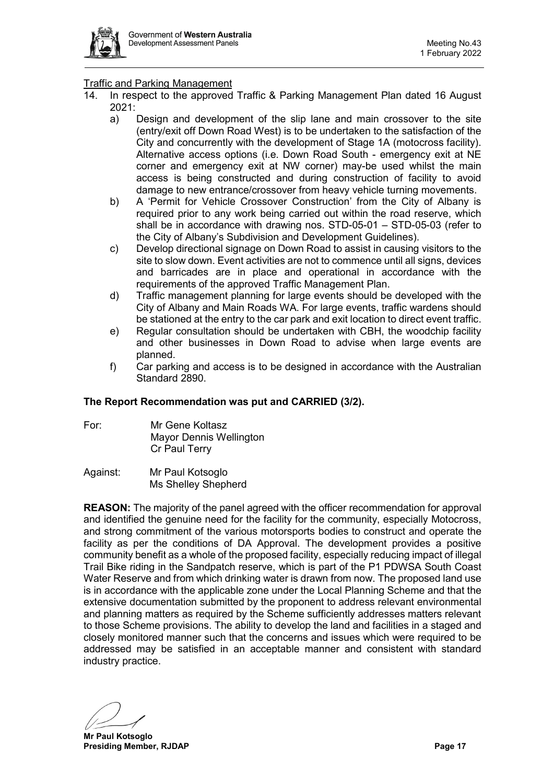

## Traffic and Parking Management

- 14. In respect to the approved Traffic & Parking Management Plan dated 16 August 2021:
	- a) Design and development of the slip lane and main crossover to the site (entry/exit off Down Road West) is to be undertaken to the satisfaction of the City and concurrently with the development of Stage 1A (motocross facility). Alternative access options (i.e. Down Road South - emergency exit at NE corner and emergency exit at NW corner) may-be used whilst the main access is being constructed and during construction of facility to avoid damage to new entrance/crossover from heavy vehicle turning movements.
	- b) A 'Permit for Vehicle Crossover Construction' from the City of Albany is required prior to any work being carried out within the road reserve, which shall be in accordance with drawing nos. STD-05-01 – STD-05-03 (refer to the City of Albany's Subdivision and Development Guidelines).
	- c) Develop directional signage on Down Road to assist in causing visitors to the site to slow down. Event activities are not to commence until all signs, devices and barricades are in place and operational in accordance with the requirements of the approved Traffic Management Plan.
	- d) Traffic management planning for large events should be developed with the City of Albany and Main Roads WA. For large events, traffic wardens should be stationed at the entry to the car park and exit location to direct event traffic.
	- e) Regular consultation should be undertaken with CBH, the woodchip facility and other businesses in Down Road to advise when large events are planned.
	- f) Car parking and access is to be designed in accordance with the Australian Standard 2890.

#### **The Report Recommendation was put and CARRIED (3/2).**

- For: Mr Gene Koltasz Mayor Dennis Wellington Cr Paul Terry
- Against: Mr Paul Kotsoglo Ms Shelley Shepherd

**REASON:** The majority of the panel agreed with the officer recommendation for approval and identified the genuine need for the facility for the community, especially Motocross, and strong commitment of the various motorsports bodies to construct and operate the facility as per the conditions of DA Approval. The development provides a positive community benefit as a whole of the proposed facility, especially reducing impact of illegal Trail Bike riding in the Sandpatch reserve, which is part of the P1 PDWSA South Coast Water Reserve and from which drinking water is drawn from now. The proposed land use is in accordance with the applicable zone under the Local Planning Scheme and that the extensive documentation submitted by the proponent to address relevant environmental and planning matters as required by the Scheme sufficiently addresses matters relevant to those Scheme provisions. The ability to develop the land and facilities in a staged and closely monitored manner such that the concerns and issues which were required to be addressed may be satisfied in an acceptable manner and consistent with standard industry practice.

**Mr Paul Kotsoglo Presiding Member, RJDAP Page 17**